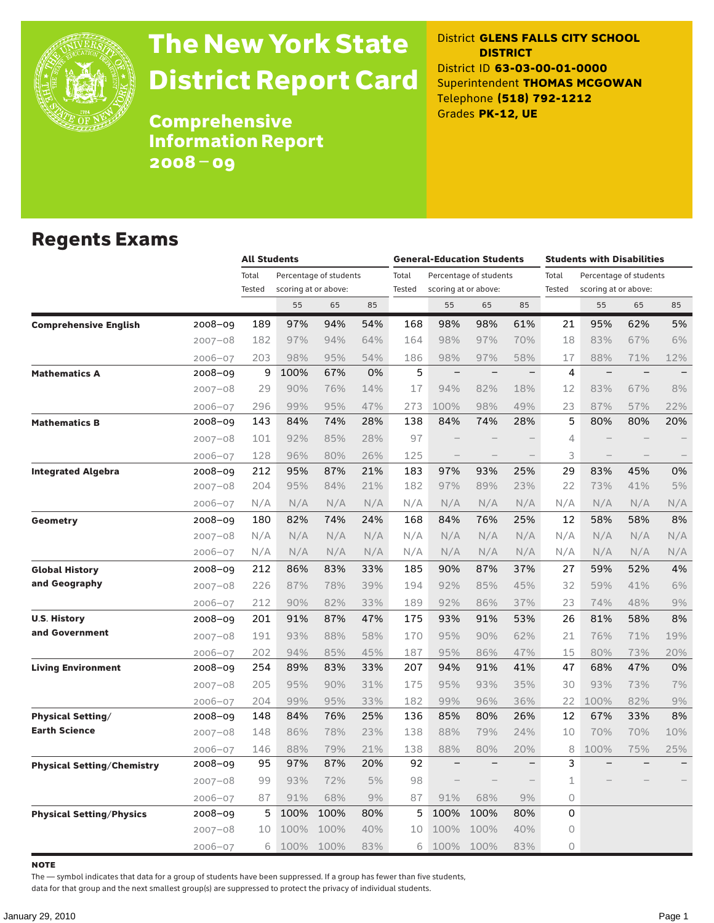

# The New York State District Report Card

District **GLENS FALLS CITY SCHOOL DISTRICT** District ID **63-03-00-01-0000** Superintendent **THOMAS MCGOWAN** Telephone **(518) 792-1212** Grades **PK-12, UE**

**Comprehensive** Information Report 2008–09

### Regents Exams

|                                   |             |                 | <b>All Students</b> |                                                |     |                        | <b>General-Education Students</b> |                                                |                          |                 | <b>Students with Disabilities</b>              |          |                          |  |
|-----------------------------------|-------------|-----------------|---------------------|------------------------------------------------|-----|------------------------|-----------------------------------|------------------------------------------------|--------------------------|-----------------|------------------------------------------------|----------|--------------------------|--|
|                                   |             | Total<br>Tested |                     | Percentage of students<br>scoring at or above: |     | Total<br><b>Tested</b> |                                   | Percentage of students<br>scoring at or above: |                          | Total<br>Tested | Percentage of students<br>scoring at or above: |          |                          |  |
|                                   |             |                 | 55                  | 65                                             | 85  |                        | 55                                | 65                                             | 85                       |                 | 55                                             | 65       | 85                       |  |
| <b>Comprehensive English</b>      | 2008-09     | 189             | 97%                 | 94%                                            | 54% | 168                    | 98%                               | 98%                                            | 61%                      | 21              | 95%                                            | 62%      | 5%                       |  |
|                                   | $2007 - 08$ | 182             | 97%                 | 94%                                            | 64% | 164                    | 98%                               | 97%                                            | 70%                      | 18              | 83%                                            | 67%      | 6%                       |  |
|                                   | $2006 - 07$ | 203             | 98%                 | 95%                                            | 54% | 186                    | 98%                               | 97%                                            | 58%                      | 17              | 88%                                            | 71%      | 12%                      |  |
| <b>Mathematics A</b>              | 2008-09     | 9               | 100%                | 67%                                            | 0%  | 5                      | $\overline{\phantom{m}}$          | $\overline{\phantom{0}}$                       | $\qquad \qquad -$        | 4               | $\overline{\phantom{0}}$                       | $\equiv$ |                          |  |
|                                   | $2007 - 08$ | 29              | 90%                 | 76%                                            | 14% | 17                     | 94%                               | 82%                                            | 18%                      | 12              | 83%                                            | 67%      | 8%                       |  |
|                                   | $2006 - 07$ | 296             | 99%                 | 95%                                            | 47% | 273                    | 100%                              | 98%                                            | 49%                      | 23              | 87%                                            | 57%      | 22%                      |  |
| <b>Mathematics B</b>              | 2008-09     | 143             | 84%                 | 74%                                            | 28% | 138                    | 84%                               | 74%                                            | 28%                      | 5               | 80%                                            | 80%      | 20%                      |  |
|                                   | $2007 - 08$ | 101             | 92%                 | 85%                                            | 28% | 97                     |                                   |                                                |                          | 4               |                                                |          |                          |  |
|                                   | $2006 - 07$ | 128             | 96%                 | 80%                                            | 26% | 125                    |                                   | $\overline{\phantom{a}}$                       |                          | 3               | $\overline{\phantom{0}}$                       |          | $\overline{\phantom{0}}$ |  |
| <b>Integrated Algebra</b>         | 2008-09     | 212             | 95%                 | 87%                                            | 21% | 183                    | 97%                               | 93%                                            | 25%                      | 29              | 83%                                            | 45%      | 0%                       |  |
|                                   | $2007 - 08$ | 204             | 95%                 | 84%                                            | 21% | 182                    | 97%                               | 89%                                            | 23%                      | 22              | 73%                                            | 41%      | 5%                       |  |
|                                   | $2006 - 07$ | N/A             | N/A                 | N/A                                            | N/A | N/A                    | N/A                               | N/A                                            | N/A                      | N/A             | N/A                                            | N/A      | N/A                      |  |
| Geometry                          | 2008-09     | 180             | 82%                 | 74%                                            | 24% | 168                    | 84%                               | 76%                                            | 25%                      | 12              | 58%                                            | 58%      | 8%                       |  |
|                                   | $2007 - 08$ | N/A             | N/A                 | N/A                                            | N/A | N/A                    | N/A                               | N/A                                            | N/A                      | N/A             | N/A                                            | N/A      | N/A                      |  |
|                                   | $2006 - 07$ | N/A             | N/A                 | N/A                                            | N/A | N/A                    | N/A                               | N/A                                            | N/A                      | N/A             | N/A                                            | N/A      | N/A                      |  |
| <b>Global History</b>             | 2008-09     | 212             | 86%                 | 83%                                            | 33% | 185                    | 90%                               | 87%                                            | 37%                      | 27              | 59%                                            | 52%      | 4%                       |  |
| and Geography                     | $2007 - 08$ | 226             | 87%                 | 78%                                            | 39% | 194                    | 92%                               | 85%                                            | 45%                      | 32              | 59%                                            | 41%      | 6%                       |  |
|                                   | $2006 - 07$ | 212             | 90%                 | 82%                                            | 33% | 189                    | 92%                               | 86%                                            | 37%                      | 23              | 74%                                            | 48%      | 9%                       |  |
| <b>U.S. History</b>               | 2008-09     | 201             | 91%                 | 87%                                            | 47% | 175                    | 93%                               | 91%                                            | 53%                      | 26              | 81%                                            | 58%      | 8%                       |  |
| and Government                    | $2007 - 08$ | 191             | 93%                 | 88%                                            | 58% | 170                    | 95%                               | 90%                                            | 62%                      | 21              | 76%                                            | 71%      | 19%                      |  |
|                                   | $2006 - 07$ | 202             | 94%                 | 85%                                            | 45% | 187                    | 95%                               | 86%                                            | 47%                      | 15              | 80%                                            | 73%      | 20%                      |  |
| <b>Living Environment</b>         | 2008-09     | 254             | 89%                 | 83%                                            | 33% | 207                    | 94%                               | 91%                                            | 41%                      | 47              | 68%                                            | 47%      | 0%                       |  |
|                                   | $2007 - 08$ | 205             | 95%                 | 90%                                            | 31% | 175                    | 95%                               | 93%                                            | 35%                      | 30              | 93%                                            | 73%      | 7%                       |  |
|                                   | $2006 - 07$ | 204             | 99%                 | 95%                                            | 33% | 182                    | 99%                               | 96%                                            | 36%                      | 22              | 100%                                           | 82%      | 9%                       |  |
| <b>Physical Setting/</b>          | 2008-09     | 148             | 84%                 | 76%                                            | 25% | 136                    | 85%                               | 80%                                            | 26%                      | 12              | 67%                                            | 33%      | 8%                       |  |
| <b>Earth Science</b>              | $2007 - 08$ | 148             | 86%                 | 78%                                            | 23% | 138                    | 88%                               | 79%                                            | 24%                      | 10              | 70%                                            | 70%      | 10%                      |  |
|                                   | $2006 - 07$ | 146             | 88%                 | 79%                                            | 21% | 138                    | 88%                               | 80%                                            | 20%                      | 8               | 100%                                           | 75%      | 25%                      |  |
| <b>Physical Setting/Chemistry</b> | 2008-09     | 95              | 97%                 | 87%                                            | 20% | 92                     | $\qquad \qquad -$                 | $\overline{\phantom{0}}$                       | $\overline{\phantom{0}}$ | 3               |                                                |          |                          |  |
|                                   | $2007 - 08$ | 99              | 93%                 | 72%                                            | 5%  | 98                     | $\overline{\phantom{0}}$          |                                                | $\overline{\phantom{0}}$ | 1               |                                                |          |                          |  |
|                                   | $2006 - 07$ | 87              | 91%                 | 68%                                            | 9%  | 87                     | 91%                               | 68%                                            | 9%                       | $\circ$         |                                                |          |                          |  |
| <b>Physical Setting/Physics</b>   | 2008-09     | 5               | 100%                | 100%                                           | 80% | 5                      | 100%                              | 100%                                           | 80%                      | 0               |                                                |          |                          |  |
|                                   | $2007 - 08$ | 10              | 100%                | 100%                                           | 40% | 10                     | 100%                              | 100%                                           | 40%                      | 0               |                                                |          |                          |  |
|                                   | $2006 - 07$ | 6               | 100%                | 100%                                           | 83% | 6                      | 100%                              | 100%                                           | 83%                      | $\circ$         |                                                |          |                          |  |

note

The — symbol indicates that data for a group of students have been suppressed. If a group has fewer than five students,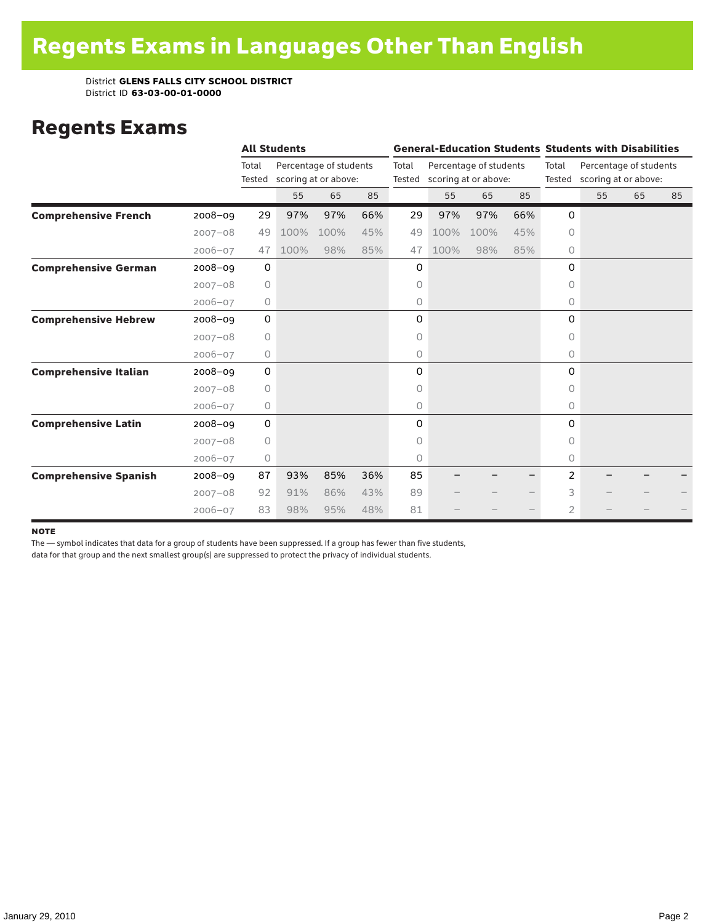### Regents Exams

|                              |             |                 | <b>All Students</b> |                                                |     |       |      |                                                       |     | <b>General-Education Students Students with Disabilities</b> |                                                       |    |    |
|------------------------------|-------------|-----------------|---------------------|------------------------------------------------|-----|-------|------|-------------------------------------------------------|-----|--------------------------------------------------------------|-------------------------------------------------------|----|----|
|                              |             | Total<br>Tested |                     | Percentage of students<br>scoring at or above: |     | Total |      | Percentage of students<br>Tested scoring at or above: |     | Total                                                        | Percentage of students<br>Tested scoring at or above: |    |    |
|                              |             |                 | 55                  | 65                                             | 85  |       | 55   | 65                                                    | 85  |                                                              | 55                                                    | 65 | 85 |
| <b>Comprehensive French</b>  | $2008 - 09$ | 29              | 97%                 | 97%                                            | 66% | 29    | 97%  | 97%                                                   | 66% | 0                                                            |                                                       |    |    |
|                              | $2007 - 08$ | 49              | 100%                | 100%                                           | 45% | 49    | 100% | 100%                                                  | 45% | $\circ$                                                      |                                                       |    |    |
|                              | $2006 - 07$ | 47              | 100%                | 98%                                            | 85% | 47    | 100% | 98%                                                   | 85% | 0                                                            |                                                       |    |    |
| <b>Comprehensive German</b>  | $2008 - 09$ | 0               |                     |                                                |     | 0     |      |                                                       |     | 0                                                            |                                                       |    |    |
|                              | $2007 - 08$ | $\circ$         |                     |                                                |     | 0     |      |                                                       |     | 0                                                            |                                                       |    |    |
|                              | $2006 - 07$ | 0               |                     |                                                |     | 0     |      |                                                       |     | 0                                                            |                                                       |    |    |
| <b>Comprehensive Hebrew</b>  | $2008 - 09$ | 0               |                     |                                                |     | 0     |      |                                                       |     | 0                                                            |                                                       |    |    |
|                              | $2007 - 08$ | $\circ$         |                     |                                                |     | 0     |      |                                                       |     | 0                                                            |                                                       |    |    |
|                              | $2006 - 07$ | 0               |                     |                                                |     | 0     |      |                                                       |     | 0                                                            |                                                       |    |    |
| <b>Comprehensive Italian</b> | 2008-09     | 0               |                     |                                                |     | 0     |      |                                                       |     | 0                                                            |                                                       |    |    |
|                              | $2007 - 08$ | 0               |                     |                                                |     | 0     |      |                                                       |     | $\Omega$                                                     |                                                       |    |    |
|                              | $2006 - 07$ | $\circ$         |                     |                                                |     | 0     |      |                                                       |     | 0                                                            |                                                       |    |    |
| <b>Comprehensive Latin</b>   | $2008 - 09$ | 0               |                     |                                                |     | 0     |      |                                                       |     | 0                                                            |                                                       |    |    |
|                              | $2007 - 08$ | $\circ$         |                     |                                                |     | 0     |      |                                                       |     | O                                                            |                                                       |    |    |
|                              | $2006 - 07$ | 0               |                     |                                                |     | 0     |      |                                                       |     | 0                                                            |                                                       |    |    |
| <b>Comprehensive Spanish</b> | $2008 - 09$ | 87              | 93%                 | 85%                                            | 36% | 85    |      |                                                       |     | $\overline{2}$                                               |                                                       |    |    |
|                              | $2007 - 08$ | 92              | 91%                 | 86%                                            | 43% | 89    |      |                                                       |     | 3                                                            |                                                       |    |    |
|                              | $2006 - 07$ | 83              | 98%                 | 95%                                            | 48% | 81    |      |                                                       |     | $\overline{2}$                                               |                                                       |    |    |

#### **NOTE**

The — symbol indicates that data for a group of students have been suppressed. If a group has fewer than five students,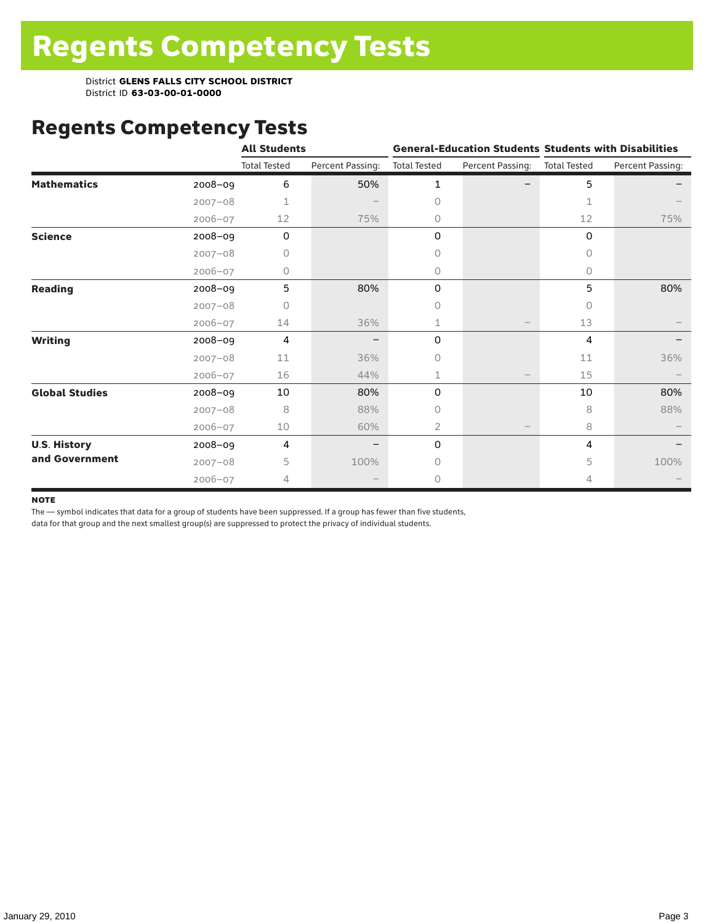# Regents Competency Tests

|                       |             | <b>All Students</b> |                  |                     | <b>General-Education Students Students with Disabilities</b> |                     |                  |
|-----------------------|-------------|---------------------|------------------|---------------------|--------------------------------------------------------------|---------------------|------------------|
|                       |             | <b>Total Tested</b> | Percent Passing: | <b>Total Tested</b> | Percent Passing:                                             | <b>Total Tested</b> | Percent Passing: |
| <b>Mathematics</b>    | 2008-09     | 6                   | 50%              | 1                   |                                                              | 5                   |                  |
|                       | $2007 - 08$ | 1                   |                  | 0                   |                                                              | 1                   |                  |
|                       | $2006 - 07$ | 12                  | 75%              | 0                   |                                                              | 12                  | 75%              |
| <b>Science</b>        | 2008-09     | $\mathbf 0$         |                  | 0                   |                                                              | 0                   |                  |
|                       | $2007 - 08$ | 0                   |                  | 0                   |                                                              | 0                   |                  |
|                       | $2006 - 07$ | 0                   |                  | 0                   |                                                              | 0                   |                  |
| <b>Reading</b>        | 2008-09     | 5                   | 80%              | 0                   |                                                              | 5                   | 80%              |
|                       | $2007 - 08$ | $\cap$              |                  | 0                   |                                                              | $\cap$              |                  |
|                       | $2006 - 07$ | 14                  | 36%              | 1                   |                                                              | 13                  |                  |
| <b>Writing</b>        | 2008-09     | 4                   |                  | 0                   |                                                              | 4                   |                  |
|                       | $2007 - 08$ | 11                  | 36%              | 0                   |                                                              | 11                  | 36%              |
|                       | $2006 - 07$ | 16                  | 44%              | 1                   |                                                              | 15                  |                  |
| <b>Global Studies</b> | 2008-09     | 10                  | 80%              | 0                   |                                                              | 10                  | 80%              |
|                       | $2007 - 08$ | 8                   | 88%              | 0                   |                                                              | 8                   | 88%              |
|                       | $2006 - 07$ | 10                  | 60%              | 2                   |                                                              | 8                   |                  |
| <b>U.S. History</b>   | 2008-09     | 4                   |                  | 0                   |                                                              | 4                   |                  |
| and Government        | $2007 - 08$ | 5                   | 100%             | 0                   |                                                              | 5                   | 100%             |
|                       | $2006 - 07$ | 4                   |                  | 0                   |                                                              | 4                   |                  |

#### **NOTE**

The — symbol indicates that data for a group of students have been suppressed. If a group has fewer than five students,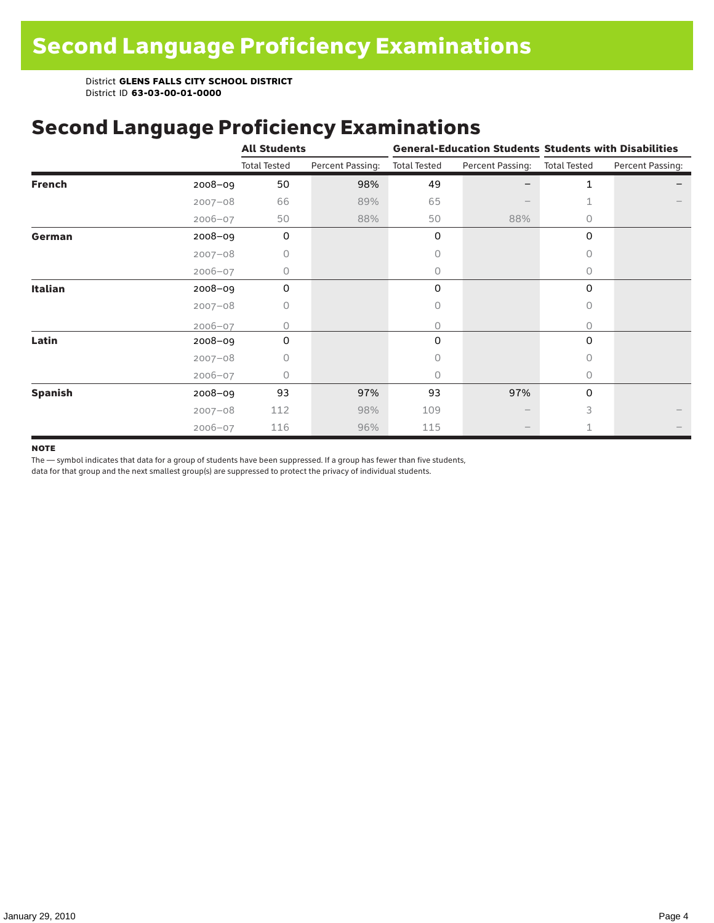### Second Language Proficiency Examinations

|                |             | <b>All Students</b> |                  |                     |                               | <b>General-Education Students Students with Disabilities</b> |                  |  |  |
|----------------|-------------|---------------------|------------------|---------------------|-------------------------------|--------------------------------------------------------------|------------------|--|--|
|                |             | <b>Total Tested</b> | Percent Passing: | <b>Total Tested</b> | Percent Passing: Total Tested |                                                              | Percent Passing: |  |  |
| <b>French</b>  | $2008 - 09$ | 50                  | 98%              | 49                  |                               | 1                                                            |                  |  |  |
|                | $2007 - 08$ | 66                  | 89%              | 65                  |                               |                                                              |                  |  |  |
|                | $2006 - 07$ | 50                  | 88%              | 50                  | 88%                           | $\circ$                                                      |                  |  |  |
| German         | 2008-09     | $\mathbf 0$         |                  | 0                   |                               | 0                                                            |                  |  |  |
|                | $2007 - 08$ | 0                   |                  | 0                   |                               | 0                                                            |                  |  |  |
|                | $2006 - 07$ | $\Omega$            |                  | 0                   |                               | $\circ$                                                      |                  |  |  |
| <b>Italian</b> | $2008 - 09$ | 0                   |                  | 0                   |                               | 0                                                            |                  |  |  |
|                | $2007 - 08$ | 0                   |                  | 0                   |                               | 0                                                            |                  |  |  |
|                | $2006 - 07$ | Ω                   |                  | 0                   |                               | 0                                                            |                  |  |  |
| Latin          | 2008-09     | 0                   |                  | 0                   |                               | $\mathbf 0$                                                  |                  |  |  |
|                | $2007 - 08$ | Ω                   |                  | 0                   |                               | $\bigcap$                                                    |                  |  |  |
|                | $2006 - 07$ | O                   |                  | 0                   |                               | $\bigcap$                                                    |                  |  |  |
| <b>Spanish</b> | 2008-09     | 93                  | 97%              | 93                  | 97%                           | 0                                                            |                  |  |  |
|                | $2007 - 08$ | 112                 | 98%              | 109                 |                               | 3                                                            |                  |  |  |
|                | $2006 - 07$ | 116                 | 96%              | 115                 | $\qquad \qquad$               |                                                              |                  |  |  |

#### **NOTE**

The — symbol indicates that data for a group of students have been suppressed. If a group has fewer than five students,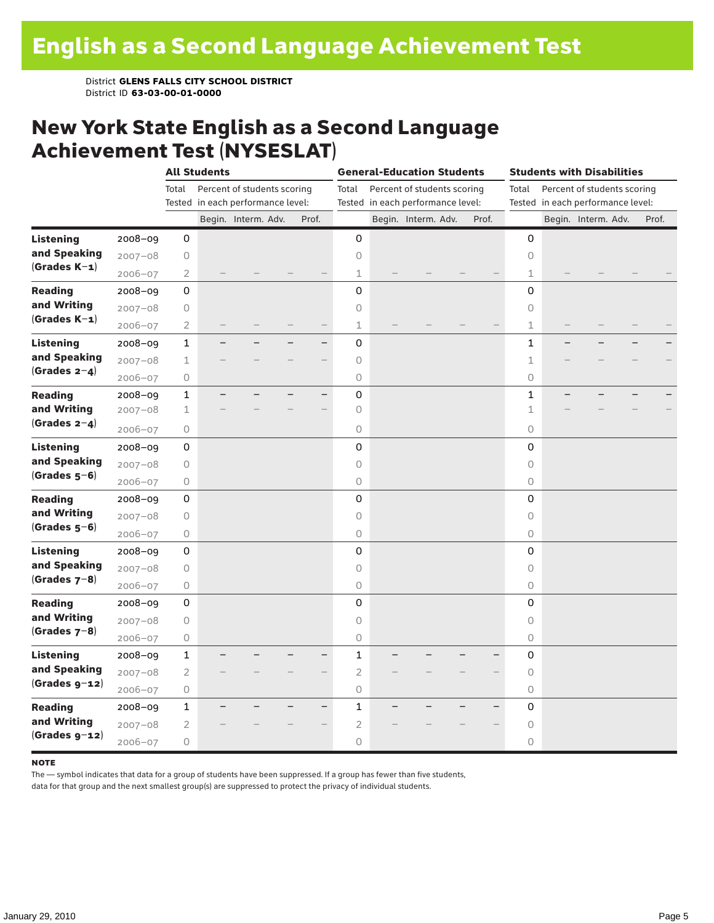### New York State English as a Second Language Achievement Test (NYSESLAT)

|                  |             |                | <b>All Students</b>               |                             |                          | <b>General-Education Students</b> |                                   |                             |  |       | <b>Students with Disabilities</b> |  |                                   |  |       |
|------------------|-------------|----------------|-----------------------------------|-----------------------------|--------------------------|-----------------------------------|-----------------------------------|-----------------------------|--|-------|-----------------------------------|--|-----------------------------------|--|-------|
|                  |             | Total          |                                   | Percent of students scoring |                          | Total                             |                                   | Percent of students scoring |  |       | Total                             |  | Percent of students scoring       |  |       |
|                  |             |                | Tested in each performance level: |                             |                          |                                   | Tested in each performance level: |                             |  |       |                                   |  | Tested in each performance level: |  |       |
|                  |             |                |                                   | Begin. Interm. Adv.         | Prof.                    |                                   |                                   | Begin. Interm. Adv.         |  | Prof. |                                   |  | Begin. Interm. Adv.               |  | Prof. |
| <b>Listening</b> | 2008-09     | 0              |                                   |                             |                          | 0                                 |                                   |                             |  |       | 0                                 |  |                                   |  |       |
| and Speaking     | $2007 - 08$ | $\mathsf O$    |                                   |                             |                          | $\circ$                           |                                   |                             |  |       | $\circ$                           |  |                                   |  |       |
| $(Grades K-1)$   | $2006 - 07$ | 2              |                                   |                             |                          | 1                                 |                                   |                             |  |       | 1                                 |  |                                   |  |       |
| <b>Reading</b>   | $2008 - 09$ | 0              |                                   |                             |                          | 0                                 |                                   |                             |  |       | 0                                 |  |                                   |  |       |
| and Writing      | $2007 - 08$ | 0              |                                   |                             |                          | $\mathsf O$                       |                                   |                             |  |       | 0                                 |  |                                   |  |       |
| $(Grades K-1)$   | $2006 - 07$ | 2              |                                   |                             |                          | 1                                 |                                   |                             |  |       | $\mathbf 1$                       |  |                                   |  |       |
| <b>Listening</b> | $2008 - 09$ | $\mathbf 1$    |                                   |                             | $\overline{\phantom{0}}$ | 0                                 |                                   |                             |  |       | $\mathbf 1$                       |  |                                   |  |       |
| and Speaking     | $2007 - 08$ | $1\,$          |                                   |                             |                          | $\mathsf O$                       |                                   |                             |  |       | $\mathbf 1$                       |  |                                   |  |       |
| (Grades $2-4$ )  | $2006 - 07$ | $\circ$        |                                   |                             |                          | 0                                 |                                   |                             |  |       | $\circ$                           |  |                                   |  |       |
| <b>Reading</b>   | $2008 - 09$ | $\mathbf 1$    |                                   |                             | -                        | $\mathsf{O}\xspace$               |                                   |                             |  |       | $\mathbf 1$                       |  |                                   |  |       |
| and Writing      | $2007 - 08$ | $\mathbf 1$    |                                   |                             |                          | $\bigcirc$                        |                                   |                             |  |       | 1                                 |  |                                   |  |       |
| (Grades $2-4$ )  | $2006 - 07$ | 0              |                                   |                             |                          | $\circ$                           |                                   |                             |  |       | $\circ$                           |  |                                   |  |       |
| <b>Listening</b> | 2008-09     | 0              |                                   |                             |                          | 0                                 |                                   |                             |  |       | 0                                 |  |                                   |  |       |
| and Speaking     | $2007 - 08$ | $\bigcirc$     |                                   |                             |                          | $\circ$                           |                                   |                             |  |       | $\circ$                           |  |                                   |  |       |
| $(Grades 5-6)$   | $2006 - 07$ | $\bigcirc$     |                                   |                             |                          | 0                                 |                                   |                             |  |       | $\circ$                           |  |                                   |  |       |
| <b>Reading</b>   | $2008 - 09$ | 0              |                                   |                             |                          | 0                                 |                                   |                             |  |       | 0                                 |  |                                   |  |       |
| and Writing      | $2007 - 08$ | $\mathsf O$    |                                   |                             |                          | 0                                 |                                   |                             |  |       | 0                                 |  |                                   |  |       |
| $(Grades 5-6)$   | $2006 - 07$ | $\mathsf O$    |                                   |                             |                          | $\bigcirc$                        |                                   |                             |  |       | $\circlearrowright$               |  |                                   |  |       |
| <b>Listening</b> | $2008 - 09$ | 0              |                                   |                             |                          | 0                                 |                                   |                             |  |       | 0                                 |  |                                   |  |       |
| and Speaking     | $2007 - 08$ | $\mathsf O$    |                                   |                             |                          | 0                                 |                                   |                             |  |       | $\circ$                           |  |                                   |  |       |
| $(Grades 7-8)$   | $2006 - 07$ | $\bigcirc$     |                                   |                             |                          | $\circ$                           |                                   |                             |  |       | $\circ$                           |  |                                   |  |       |
| <b>Reading</b>   | $2008 - 09$ | 0              |                                   |                             |                          | 0                                 |                                   |                             |  |       | 0                                 |  |                                   |  |       |
| and Writing      | $2007 - 08$ | 0              |                                   |                             |                          | $\mathsf O$                       |                                   |                             |  |       | 0                                 |  |                                   |  |       |
| $(Grades 7-8)$   | $2006 - 07$ | $\bigcirc$     |                                   |                             |                          | 0                                 |                                   |                             |  |       | $\circlearrowright$               |  |                                   |  |       |
| <b>Listening</b> | 2008-09     | $\mathbf 1$    |                                   |                             | $\overline{\phantom{0}}$ | $\mathbf{1}$                      |                                   |                             |  |       | 0                                 |  |                                   |  |       |
| and Speaking     | $2007 - 08$ | $\overline{2}$ |                                   |                             |                          | $\overline{2}$                    |                                   |                             |  |       | $\circ$                           |  |                                   |  |       |
| $(Grades g-12)$  | $2006 - 07$ | $\bigcirc$     |                                   |                             |                          | $\circ$                           |                                   |                             |  |       | $\circ$                           |  |                                   |  |       |
| <b>Reading</b>   | 2008-09     | $\mathbf{1}$   |                                   |                             |                          | 1                                 |                                   |                             |  |       | 0                                 |  |                                   |  |       |
| and Writing      | $2007 - 08$ | 2              |                                   |                             |                          | $\overline{c}$                    |                                   |                             |  |       | 0                                 |  |                                   |  |       |
| $(Grades g-12)$  | $2006 - 07$ | $\bigcirc$     |                                   |                             |                          | 0                                 |                                   |                             |  |       | $\circ$                           |  |                                   |  |       |

#### **NOTE**

The — symbol indicates that data for a group of students have been suppressed. If a group has fewer than five students,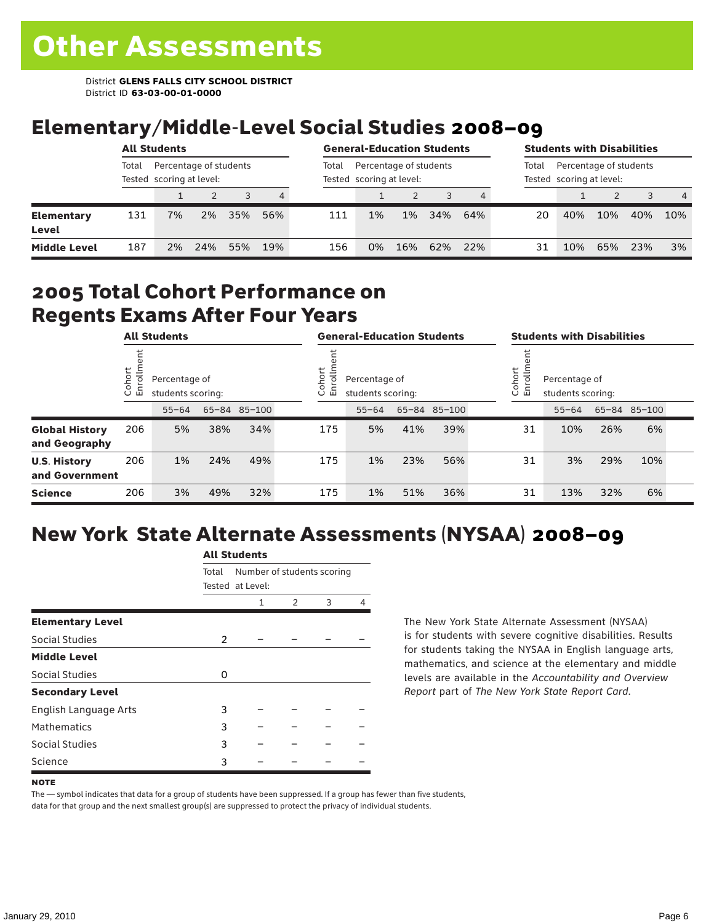## Elementary/Middle-Level Social Studies 2008–09

|                            | <b>All Students</b><br>Percentage of students |                          |     |     |     | <b>General-Education Students</b> |                                                    |       |     |     | <b>Students with Disabilities</b> |                                                    |     |     |                |
|----------------------------|-----------------------------------------------|--------------------------|-----|-----|-----|-----------------------------------|----------------------------------------------------|-------|-----|-----|-----------------------------------|----------------------------------------------------|-----|-----|----------------|
|                            | Total                                         | Tested scoring at level: |     |     |     | Total                             | Percentage of students<br>Tested scoring at level: |       |     |     | Total                             | Percentage of students<br>Tested scoring at level: |     |     |                |
|                            |                                               |                          |     | 3   | 4   |                                   |                                                    |       |     |     |                                   |                                                    |     |     | $\overline{4}$ |
| <b>Elementary</b><br>Level | 131                                           | 7%                       | 2%  | 35% | 56% | 111                               | 1%                                                 | $1\%$ | 34% | 64% | 20                                | 40%                                                | 10% | 40% | 10%            |
| <b>Middle Level</b>        | 187                                           | 2%                       | 24% | 55% | 19% | 156                               | 0%                                                 | 16%   | 62% | 22% | 31                                | 10%                                                | 65% | 23% | 3%             |

### 2005 Total Cohort Performance on Regents Exams After Four Years

|                                        | <b>All Students</b> |           |                                                    |     | <b>General-Education Students</b> |     |                                                        |     |              | <b>Students with Disabilities</b> |                                                        |           |     |              |  |
|----------------------------------------|---------------------|-----------|----------------------------------------------------|-----|-----------------------------------|-----|--------------------------------------------------------|-----|--------------|-----------------------------------|--------------------------------------------------------|-----------|-----|--------------|--|
|                                        | Cohort<br>πò<br>屲   |           | Percentage of<br>students scoring:<br>65-84 85-100 |     |                                   |     | Cohort<br>ē<br>Percentage of<br>모<br>students scoring: |     |              |                                   | Cohort<br>Percentage of<br>5<br>훕<br>students scoring: |           |     |              |  |
|                                        |                     | $55 - 64$ |                                                    |     |                                   |     | $55 - 64$                                              |     | 65-84 85-100 |                                   |                                                        | $55 - 64$ |     | 65-84 85-100 |  |
| <b>Global History</b><br>and Geography | 206                 | 5%        | 38%                                                | 34% |                                   | 175 | 5%                                                     | 41% | 39%          |                                   | 31                                                     | 10%       | 26% | 6%           |  |
| <b>U.S. History</b><br>and Government  | 206                 | 1%        | 24%                                                | 49% |                                   | 175 | 1%                                                     | 23% | 56%          |                                   | 31                                                     | 3%        | 29% | 10%          |  |
| <b>Science</b>                         | 206                 | 3%        | 49%                                                | 32% |                                   | 175 | 1%                                                     | 51% | 36%          |                                   | 31                                                     | 13%       | 32% | 6%           |  |

## New York State Alternate Assessments (NYSAA) 2008–09

|                         | <b>All Students</b> |                                                |               |   |   |  |  |  |  |  |
|-------------------------|---------------------|------------------------------------------------|---------------|---|---|--|--|--|--|--|
|                         | Total               | Number of students scoring<br>Tested at Level: |               |   |   |  |  |  |  |  |
|                         |                     | 1                                              | $\mathcal{P}$ | 3 | 4 |  |  |  |  |  |
| <b>Elementary Level</b> |                     |                                                |               |   |   |  |  |  |  |  |
| Social Studies          | 2                   |                                                |               |   |   |  |  |  |  |  |
| <b>Middle Level</b>     |                     |                                                |               |   |   |  |  |  |  |  |
| Social Studies          | 0                   |                                                |               |   |   |  |  |  |  |  |
| <b>Secondary Level</b>  |                     |                                                |               |   |   |  |  |  |  |  |
| English Language Arts   | 3                   |                                                |               |   |   |  |  |  |  |  |
| <b>Mathematics</b>      | 3                   |                                                |               |   |   |  |  |  |  |  |
| Social Studies          | 3                   |                                                |               |   |   |  |  |  |  |  |
| Science                 | 3                   |                                                |               |   |   |  |  |  |  |  |

The New York State Alternate Assessment (NYSAA) is for students with severe cognitive disabilities. Results for students taking the NYSAA in English language arts, mathematics, and science at the elementary and middle levels are available in the *Accountability and Overview Report* part of *The New York State Report Card*.

#### **NOTE**

The — symbol indicates that data for a group of students have been suppressed. If a group has fewer than five students, data for that group and the next smallest group(s) are suppressed to protect the privacy of individual students.